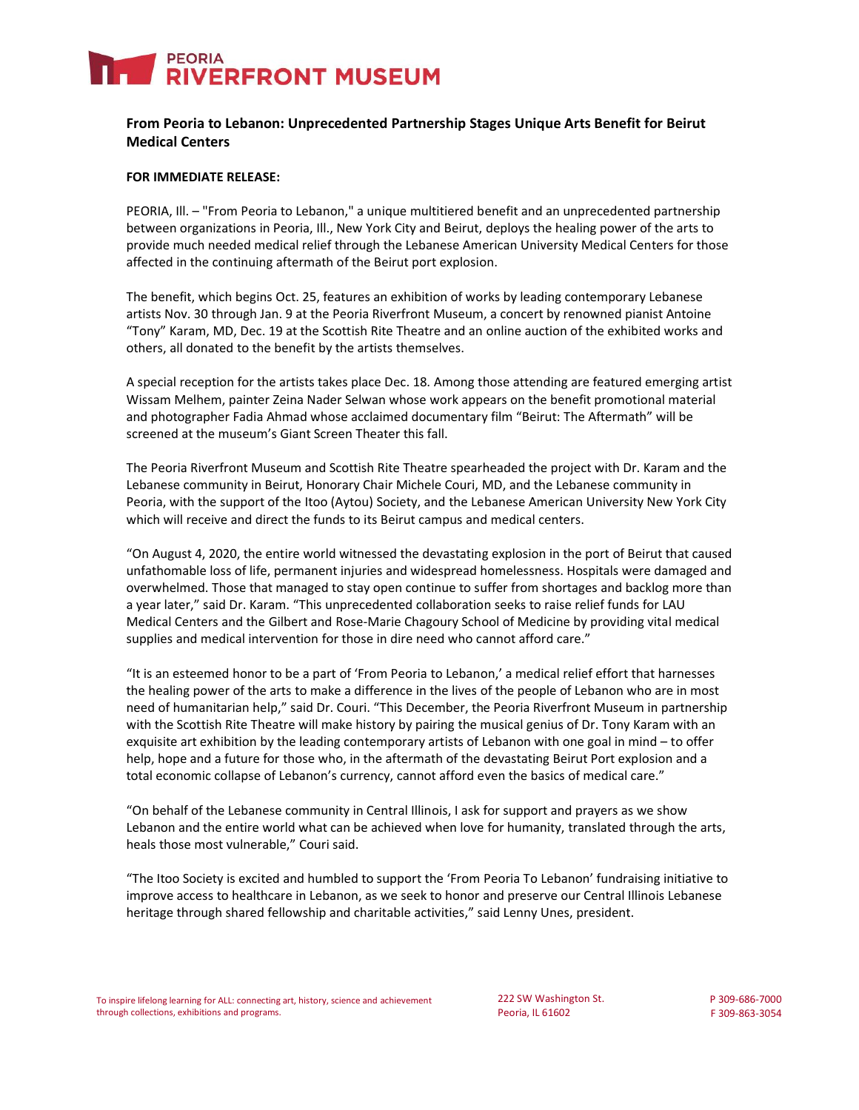# PEORIA<br>**RIVERFRONT MUSEUM**

### **From Peoria to Lebanon: Unprecedented Partnership Stages Unique Arts Benefit for Beirut Medical Centers**

#### **FOR IMMEDIATE RELEASE:**

PEORIA, Ill. – "From Peoria to Lebanon," a unique multitiered benefit and an unprecedented partnership between organizations in Peoria, Ill., New York City and Beirut, deploys the healing power of the arts to provide much needed medical relief through the Lebanese American University Medical Centers for those affected in the continuing aftermath of the Beirut port explosion.

The benefit, which begins Oct. 25, features an exhibition of works by leading contemporary Lebanese artists Nov. 30 through Jan. 9 at the Peoria Riverfront Museum, a concert by renowned pianist Antoine "Tony" Karam, MD, Dec. 19 at the Scottish Rite Theatre and an online auction of the exhibited works and others, all donated to the benefit by the artists themselves.

A special reception for the artists takes place Dec. 18. Among those attending are featured emerging artist Wissam Melhem, painter Zeina Nader Selwan whose work appears on the benefit promotional material and photographer Fadia Ahmad whose acclaimed documentary film "Beirut: The Aftermath" will be screened at the museum's Giant Screen Theater this fall.

The Peoria Riverfront Museum and Scottish Rite Theatre spearheaded the project with Dr. Karam and the Lebanese community in Beirut, Honorary Chair Michele Couri, MD, and the Lebanese community in Peoria, with the support of the Itoo (Aytou) Society, and the Lebanese American University New York City which will receive and direct the funds to its Beirut campus and medical centers.

"On August 4, 2020, the entire world witnessed the devastating explosion in the port of Beirut that caused unfathomable loss of life, permanent injuries and widespread homelessness. Hospitals were damaged and overwhelmed. Those that managed to stay open continue to suffer from shortages and backlog more than a year later," said Dr. Karam. "This unprecedented collaboration seeks to raise relief funds for LAU Medical Centers and the Gilbert and Rose-Marie Chagoury School of Medicine by providing vital medical supplies and medical intervention for those in dire need who cannot afford care."

"It is an esteemed honor to be a part of 'From Peoria to Lebanon,' a medical relief effort that harnesses the healing power of the arts to make a difference in the lives of the people of Lebanon who are in most need of humanitarian help," said Dr. Couri. "This December, the Peoria Riverfront Museum in partnership with the Scottish Rite Theatre will make history by pairing the musical genius of Dr. Tony Karam with an exquisite art exhibition by the leading contemporary artists of Lebanon with one goal in mind – to offer help, hope and a future for those who, in the aftermath of the devastating Beirut Port explosion and a total economic collapse of Lebanon's currency, cannot afford even the basics of medical care."

"On behalf of the Lebanese community in Central Illinois, I ask for support and prayers as we show Lebanon and the entire world what can be achieved when love for humanity, translated through the arts, heals those most vulnerable," Couri said.

"The Itoo Society is excited and humbled to support the 'From Peoria To Lebanon' fundraising initiative to improve access to healthcare in Lebanon, as we seek to honor and preserve our Central Illinois Lebanese heritage through shared fellowship and charitable activities," said Lenny Unes, president.

222 SW Washington St. Peoria, IL 61602

P 309-686-7000 F 309-863-3054